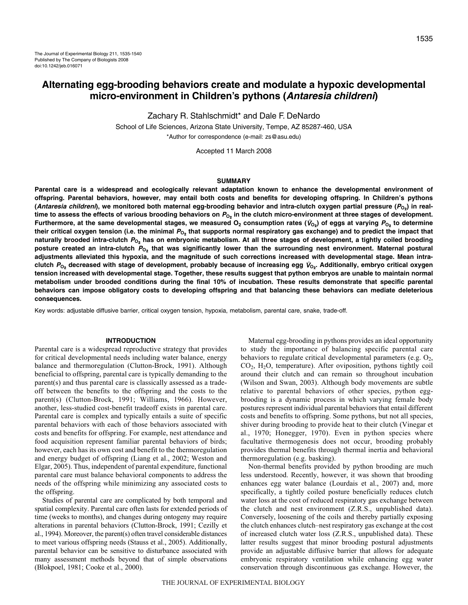Zachary R. Stahlschmidt\* and Dale F. DeNardo

School of Life Sciences, Arizona State University, Tempe, AZ 85287-460, USA \*Author for correspondence (e-mail: zs@asu.edu)

Accepted 11 March 2008

### **SUMMARY**

**Parental care is a widespread and ecologically relevant adaptation known to enhance the developmental environment of offspring. Parental behaviors, however, may entail both costs and benefits for developing offspring. In Children's pythons** (*Antaresia childreni*), we monitored both maternal egg-brooding behavior and intra-clutch oxygen partial pressure (P<sub>O</sub><sub>2</sub>) in realtime to assess the effects of various brooding behaviors on  $P_{O_2}$  in the clutch micro-environment at three stages of development. **Furthermore, at the same developmental stages, we measured**  $O_2$  **consumption rates (** $V_{O_2}$ **) of eggs at varying**  $P_{O_2}$  **to determine** their critical oxygen tension (i.e. the minimal  $P_{O_2}$  that supports normal respiratory gas exchange) and to predict the impact that **naturally brooded intra-clutch PO**2 **has on embryonic metabolism. At all three stages of development, a tightly coiled brooding posture created an intra-clutch PO**2 **that was significantly lower than the surrounding nest environment. Maternal postural adjustments alleviated this hypoxia, and the magnitude of such corrections increased with developmental stage. Mean intraclutch PO**2 **decreased with stage of development, probably because of increasing egg** *V***O**2**. Additionally, embryo critical oxygen tension increased with developmental stage. Together, these results suggest that python embryos are unable to maintain normal metabolism under brooded conditions during the final 10% of incubation. These results demonstrate that specific parental behaviors can impose obligatory costs to developing offspring and that balancing these behaviors can mediate deleterious consequences.**

Key words: adjustable diffusive barrier, critical oxygen tension, hypoxia, metabolism, parental care, snake, trade-off.

# **INTRODUCTION**

Parental care is a widespread reproductive strategy that provides for critical developmental needs including water balance, energy balance and thermoregulation (Clutton-Brock, 1991). Although beneficial to offspring, parental care is typically demanding to the parent(s) and thus parental care is classically assessed as a tradeoff between the benefits to the offspring and the costs to the parent(s) (Clutton-Brock, 1991; Williams, 1966). However, another, less-studied cost-benefit tradeoff exists in parental care. Parental care is complex and typically entails a suite of specific parental behaviors with each of those behaviors associated with costs and benefits for offspring. For example, nest attendance and food acquisition represent familiar parental behaviors of birds; however, each has its own cost and benefit to the thermoregulation and energy budget of offspring (Liang et al., 2002; Weston and Elgar, 2005). Thus, independent of parental expenditure, functional parental care must balance behavioral components to address the needs of the offspring while minimizing any associated costs to the offspring.

Studies of parental care are complicated by both temporal and spatial complexity. Parental care often lasts for extended periods of time (weeks to months), and changes during ontogeny may require alterations in parental behaviors (Clutton-Brock, 1991; Cezilly et al., 1994). Moreover, the parent(s) often travel considerable distances to meet various offspring needs (Stauss et al., 2005). Additionally, parental behavior can be sensitive to disturbance associated with many assessment methods beyond that of simple observations (Blokpoel, 1981; Cooke et al., 2000).

Maternal egg-brooding in pythons provides an ideal opportunity to study the importance of balancing specific parental care behaviors to regulate critical developmental parameters (e.g.  $O_2$ , CO2, H2O, temperature). After oviposition, pythons tightly coil around their clutch and can remain so throughout incubation (Wilson and Swan, 2003). Although body movements are subtle relative to parental behaviors of other species, python eggbrooding is a dynamic process in which varying female body postures represent individual parental behaviors that entail different costs and benefits to offspring. Some pythons, but not all species, shiver during brooding to provide heat to their clutch (Vinegar et al., 1970; Honegger, 1970). Even in python species where facultative thermogenesis does not occur, brooding probably provides thermal benefits through thermal inertia and behavioral thermoregulation (e.g. basking).

Non-thermal benefits provided by python brooding are much less understood. Recently, however, it was shown that brooding enhances egg water balance (Lourdais et al., 2007) and, more specifically, a tightly coiled posture beneficially reduces clutch water loss at the cost of reduced respiratory gas exchange between the clutch and nest environment (Z.R.S., unpublished data). Conversely, loosening of the coils and thereby partially exposing the clutch enhances clutch–nest respiratory gas exchange at the cost of increased clutch water loss (Z.R.S., unpublished data). These latter results suggest that minor brooding postural adjustments provide an adjustable diffusive barrier that allows for adequate embryonic respiratory ventilation while enhancing egg water conservation through discontinuous gas exchange. However, the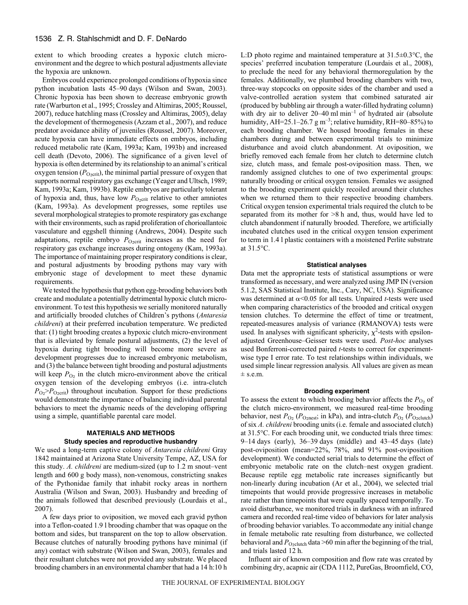extent to which brooding creates a hypoxic clutch microenvironment and the degree to which postural adjustments alleviate the hypoxia are unknown.

Embryos could experience prolonged conditions of hypoxia since python incubation lasts 45–90 days (Wilson and Swan, 2003). Chronic hypoxia has been shown to decrease embryonic growth rate (Warburton et al., 1995; Crossley and Altimiras, 2005; Roussel, 2007), reduce hatchling mass (Crossley and Altimiras, 2005), delay the development of thermogenesis (Azzam et al., 2007), and reduce predator avoidance ability of juveniles (Roussel, 2007). Moreover, acute hypoxia can have immediate effects on embryos, including reduced metabolic rate (Kam, 1993a; Kam, 1993b) and increased cell death (Devoto, 2006). The significance of a given level of hypoxia is often determined by its relationship to an animal's critical oxygen tension  $(P_{Q\text{-crit}})$ , the minimal partial pressure of oxygen that supports normal respiratory gas exchange (Yeager and Ultsch, 1989; Kam, 1993a; Kam, 1993b). Reptile embryos are particularly tolerant of hypoxia and, thus, have low  $P_{O_2\text{crit}}$  relative to other amniotes (Kam, 1993a). As development progresses, some reptiles use several morphological strategies to promote respiratory gas exchange with their environments, such as rapid proliferation of chorioallantoic vasculature and eggshell thinning (Andrews, 2004). Despite such adaptations, reptile embryo  $P_{O_2\text{crit}}$  increases as the need for respiratory gas exchange increases during ontogeny (Kam, 1993a). The importance of maintaining proper respiratory conditions is clear, and postural adjustments by brooding pythons may vary with embryonic stage of development to meet these dynamic requirements.

We tested the hypothesis that python egg-brooding behaviors both create and modulate a potentially detrimental hypoxic clutch microenvironment. To test this hypothesis we serially monitored naturally and artificially brooded clutches of Children's pythons (*Antaresia childreni*) at their preferred incubation temperature. We predicted that: (1) tight brooding creates a hypoxic clutch micro-environment that is alleviated by female postural adjustments, (2) the level of hypoxia during tight brooding will become more severe as development progresses due to increased embryonic metabolism, and (3) the balance between tight brooding and postural adjustments will keep  $P_{\text{O}_2}$  in the clutch micro-environment above the critical oxygen tension of the developing embryos (i.e. intra-clutch  $P_{\text{O}_2} > P_{\text{O}_2\text{crit}}$ ) throughout incubation. Support for these predictions would demonstrate the importance of balancing individual parental behaviors to meet the dynamic needs of the developing offspring using a simple, quantifiable parental care model.

## **MATERIALS AND METHODS Study species and reproductive husbandry**

We used a long-term captive colony of *Antaresia childreni* Gray 1842 maintained at Arizona State University Tempe, AZ, USA for this study. *A. childreni* are medium-sized (up to 1.2 m snout–vent length and 600 g body mass), non-venomous, constricting snakes of the Pythonidae family that inhabit rocky areas in northern Australia (Wilson and Swan, 2003). Husbandry and breeding of the animals followed that described previously (Lourdais et al., 2007).

A few days prior to oviposition, we moved each gravid python into a Teflon-coated 1.9 l brooding chamber that was opaque on the bottom and sides, but transparent on the top to allow observation. Because clutches of naturally brooding pythons have minimal (if any) contact with substrate (Wilson and Swan, 2003), females and their resultant clutches were not provided any substrate. We placed brooding chambers in an environmental chamber that had a 14 h:10 h

L:D photo regime and maintained temperature at 31.5±0.3°C, the species' preferred incubation temperature (Lourdais et al., 2008), to preclude the need for any behavioral thermoregulation by the females. Additionally, we plumbed brooding chambers with two, three-way stopcocks on opposite sides of the chamber and used a valve-controlled aeration system that combined saturated air (produced by bubbling air through a water-filled hydrating column) with dry air to deliver  $20-40$  ml  $min^{-1}$  of hydrated air (absolute humidity, AH=25.1–26.7  $\text{g m}^{-3}$ ; relative humidity, RH=80–85%) to each brooding chamber. We housed brooding females in these chambers during and between experimental trials to minimize disturbance and avoid clutch abandonment. At oviposition, we briefly removed each female from her clutch to determine clutch size, clutch mass, and female post-oviposition mass. Then, we randomly assigned clutches to one of two experimental groups: naturally brooding or critical oxygen tension. Females we assigned to the brooding experiment quickly recoiled around their clutches when we returned them to their respective brooding chambers. Critical oxygen tension experimental trials required the clutch to be separated from its mother for  $>8$  h and, thus, would have led to clutch abandonment if naturally brooded. Therefore, we artificially incubated clutches used in the critical oxygen tension experiment to term in 1.4 l plastic containers with a moistened Perlite substrate at 31.5°C.

## **Statistical analyses**

Data met the appropriate tests of statistical assumptions or were transformed as necessary, and were analyzed using JMP IN (version 5.1.2, SAS Statistical Institute, Inc., Cary, NC, USA). Significance was determined at  $\alpha$ <0.05 for all tests. Unpaired *t*-tests were used when comparing characteristics of the brooded and critical oxygen tension clutches. To determine the effect of time or treatment, repeated-measures analysis of variance (RMANOVA) tests were used. In analyses with significant sphericity,  $\chi^2$ -tests with epsilonadjusted Greenhouse–Geisser tests were used. *Post-hoc* analyses used Bonferroni-corrected paired *t*-tests to correct for experimentwise type I error rate. To test relationships within individuals, we used simple linear regression analysis*.* All values are given as mean  $±$  s.e.m.

# **Brooding experiment**

To assess the extent to which brooding behavior affects the  $P<sub>O<sub>2</sub></sub>$  of the clutch micro-environment, we measured real-time brooding behavior, nest  $P_{\text{O}_2}$  ( $P_{\text{O}_2$ nest; in kPa), and intra-clutch  $P_{\text{O}_2}$  ( $P_{\text{O}_2}$ clutch) of six *A. childreni* brooding units (i.e. female and associated clutch) at 31.5°C. For each brooding unit, we conducted trials three times:  $9-14$  days (early),  $36-39$  days (middle) and  $43-45$  days (late) post-oviposition (mean=22%, 78%, and 91% post-oviposition development). We conducted serial trials to determine the effect of embryonic metabolic rate on the clutch–nest oxygen gradient. Because reptile egg metabolic rate increases significantly but non-linearly during incubation (Ar et al., 2004), we selected trial timepoints that would provide progressive increases in metabolic rate rather than timepoints that were equally spaced temporally. To avoid disturbance, we monitored trials in darkness with an infrared camera and recorded real-time video of behaviors for later analysis of brooding behavior variables. To accommodate any initial change in female metabolic rate resulting from disturbance, we collected behavioral and  $P_{O_2$ clutch data >60 min after the beginning of the trial, and trials lasted 12 h.

Influent air of known composition and flow rate was created by combining dry, acapnic air (CDA 1112, PureGas, Broomfield, CO,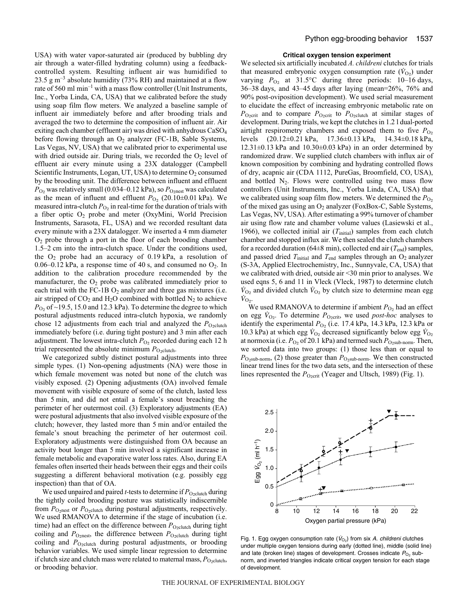USA) with water vapor-saturated air (produced by bubbling dry air through a water-filled hydrating column) using a feedbackcontrolled system. Resulting influent air was humidified to 23.5  $\text{g m}^{-3}$  absolute humidity (73% RH) and maintained at a flow rate of 560 ml  $min^{-1}$  with a mass flow controller (Unit Instruments, Inc., Yorba Linda, CA, USA) that we calibrated before the study using soap film flow meters. We analyzed a baseline sample of influent air immediately before and after brooding trials and averaged the two to determine the composition of influent air. Air exiting each chamber (effluent air) was dried with anhydrous CaSO<sub>4</sub> before flowing through an  $O_2$  analyzer (FC-1B, Sable Systems, Las Vegas, NV, USA) that we calibrated prior to experimental use with dried outside air. During trials, we recorded the  $O<sub>2</sub>$  level of effluent air every minute using a 23X datalogger (Campbell Scientific Instruments, Logan, UT, USA) to determine O<sub>2</sub> consumed by the brooding unit. The difference between influent and effluent  $P_{\text{O}_2}$  was relatively small (0.034–0.12 kPa), so  $P_{\text{O}_2}$  was calculated as the mean of influent and effluent  $P_{\text{O}_2}$  (20.10±0.01 kPa). We measured intra-clutch  $P_{\text{O}_2}$  in real-time for the duration of trials with a fiber optic  $O_2$  probe and meter (OxyMini, World Precision Instruments, Sarasota, FL, USA) and we recorded resultant data every minute with a 23X datalogger. We inserted a 4 mm diameter  $O<sub>2</sub>$  probe through a port in the floor of each brooding chamber 1.5–2 cm into the intra-clutch space. Under the conditions used, the  $O_2$  probe had an accuracy of 0.19 kPa, a resolution of 0.06–0.12 kPa, a response time of 40 s, and consumed no  $O_2$ . In addition to the calibration procedure recommended by the manufacturer, the  $O_2$  probe was calibrated immediately prior to each trial with the FC-1B  $O_2$  analyzer and three gas mixtures (i.e. air stripped of  $CO<sub>2</sub>$  and  $H<sub>2</sub>O$  combined with bottled  $N<sub>2</sub>$  to achieve  $P<sub>O2</sub>$  of ~19.5, 15.0 and 12.3 kPa). To determine the degree to which postural adjustments reduced intra-clutch hypoxia, we randomly chose 12 adjustments from each trial and analyzed the  $P_{\text{O}2\text{elutch}}$ immediately before (i.e. during tight posture) and 3 min after each adjustment. The lowest intra-clutch  $P_{\text{O}_2}$  recorded during each 12 h trial represented the absolute minimum  $P_{O_2$ clutch.

We categorized subtly distinct postural adjustments into three simple types. (1) Non-opening adjustments (NA) were those in which female movement was noted but none of the clutch was visibly exposed. (2) Opening adjustments (OA) involved female movement with visible exposure of some of the clutch, lasted less than 5 min, and did not entail a female's snout breaching the perimeter of her outermost coil. (3) Exploratory adjustments (EA) were postural adjustments that also involved visible exposure of the clutch; however, they lasted more than 5 min and/or entailed the female's snout breaching the perimeter of her outermost coil. Exploratory adjustments were distinguished from OA because an activity bout longer than 5 min involved a significant increase in female metabolic and evaporative water loss rates. Also, during EA females often inserted their heads between their eggs and their coils suggesting a different behavioral motivation (e.g. possibly egg inspection) than that of OA.

We used unpaired and paired *t*-tests to determine if  $P_{O_2 \text{clutch}}$  during the tightly coiled brooding posture was statistically indiscernible from  $P_{\text{O}_2\text{nest}}$  or  $P_{\text{O}_2\text{clutch}}$  during postural adjustments, respectively. We used RMANOVA to determine if the stage of incubation (i.e. time) had an effect on the difference between  $P_{\text{O}_2 \text{clutch}}$  during tight coiling and  $P_{\text{O}_2\text{nest}}$ , the difference between  $P_{\text{O}_2\text{clutch}}$  during tight coiling and *P*<sub>O2clutch</sub> during postural adjustments, or brooding behavior variables. We used simple linear regression to determine if clutch size and clutch mass were related to maternal mass,  $P_{\text{O}z$ clutch, or brooding behavior.

#### **Critical oxygen tension experiment**

We selected six artificially incubated *A. childreni* clutches for trials that measured embryonic oxygen consumption rate  $(\dot{V}_{O_2})$  under varying  $P_{\text{O}_2}$  at 31.5°C during three periods: 10–16 days, 36–38 days, and 43–45 days after laying (mean=26%, 76% and 90% post-oviposition development). We used serial measurement to elucidate the effect of increasing embryonic metabolic rate on  $P_{O_2\text{crit}}$  and to compare  $P_{O_2\text{crit}}$  to  $P_{O_2\text{clutch}}$  at similar stages of development. During trials, we kept the clutches in 1.2 l dual-ported airtight respirometry chambers and exposed them to five  $P_{\text{O}_2}$ levels (20.12±0.21·kPa, 17.36±0.13·kPa, 14.34±0.18·kPa,  $12.31\pm0.13$  kPa and  $10.30\pm0.03$  kPa) in an order determined by randomized draw. We supplied clutch chambers with influx air of known composition by combining and hydrating controlled flows of dry, acapnic air (CDA 1112, PureGas, Broomfield, CO, USA), and bottled  $N_2$ . Flows were controlled using two mass flow controllers (Unit Instruments, Inc., Yorba Linda, CA, USA) that we calibrated using soap film flow meters. We determined the  $P_{\text{O}_2}$ of the mixed gas using an  $O_2$  analyzer (FoxBox-C, Sable Systems, Las Vegas, NV, USA). After estimating a 99% turnover of chamber air using flow rate and chamber volume values (Lasiewski et al., 1966), we collected initial air  $(T<sub>initial</sub>)$  samples from each clutch chamber and stopped influx air. We then sealed the clutch chambers for a recorded duration (64 $\pm$ 8 min), collected end air ( $T_{\text{end}}$ ) samples, and passed dried  $T_{initial}$  and  $T_{end}$  samples through an  $O_2$  analyzer (S-3A, Applied Electrochemistry, Inc., Sunnyvale, CA, USA) that we calibrated with dried, outside air  $\leq$ 30 min prior to analyses. We used eqns 5, 6 and 11 in Vleck (Vleck, 1987) to determine clutch  $\dot{V}_{O_2}$  and divided clutch  $\dot{V}_{O_2}$  by clutch size to determine mean egg  $\dot{V}_{\text{O}_2}$ .

We used RMANOVA to determine if ambient  $P_{\text{O}_2}$  had an effect on egg  $V_{\text{O}_2}$ . To determine  $P_{\text{O}_2\text{crit}}$ , we used *post-hoc* analyses to identify the experimental  $P_{\text{O}_2}$  (i.e. 17.4 kPa, 14.3 kPa, 12.3 kPa or 10.3 kPa) at which egg  $V_{\text{O}_2}$  decreased significantly below egg  $V_{\text{O}_2}$ at normoxia (i.e.  $P_{\text{O}_2}$  of 20.1 kPa) and termed such  $P_{\text{O}_2\text{sub-norm}}$ . Then, we sorted data into two groups: (1) those less than or equal to  $P_{\text{O}_2\text{sub-norm}}$ , (2) those greater than  $P_{\text{O}_2\text{sub-norm}}$ . We then constructed linear trend lines for the two data sets, and the intersection of these lines represented the *P*<sub>O2crit</sub> (Yeager and Ultsch, 1989) (Fig. 1).



Fig. 1. Egg oxygen consumption rate ( $\dot{V}_{\text{O}_2}$ ) from six A. childreni clutches under multiple oxygen tensions during early (dotted line), middle (solid line) and late (broken line) stages of development. Crosses indicate  $P_{\text{O}_2}$  subnorm, and inverted triangles indicate critical oxygen tension for each stage of development.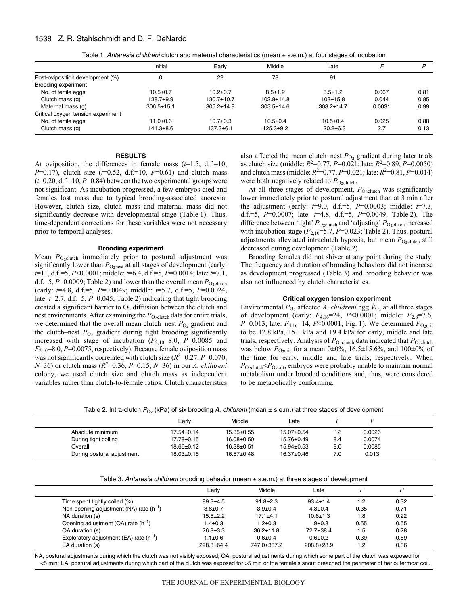# 1538 Z. R. Stahlschmidt and D. F. DeNardo

|                                    | Initial          | Early            | Middle           | Late             |        | D    |
|------------------------------------|------------------|------------------|------------------|------------------|--------|------|
| Post-oviposition development (%)   |                  | 22               | 78               | 91               |        |      |
| Brooding experiment                |                  |                  |                  |                  |        |      |
| No. of fertile eggs                | $10.5 + 0.7$     | $10.2 + 0.7$     | $8.5 \pm 1.2$    | $8.5 \pm 1.2$    | 0.067  | 0.81 |
| Clutch mass (g)                    | $138.7 + 9.9$    | $130.7 + 10.7$   | $102.8 \pm 14.8$ | $103+15.8$       | 0.044  | 0.85 |
| Maternal mass (g)                  | $306.5 \pm 15.1$ | $305.2 \pm 14.8$ | $303.5 \pm 14.6$ | $303.2 \pm 14.7$ | 0.0031 | 0.99 |
| Critical oxygen tension experiment |                  |                  |                  |                  |        |      |
| No. of fertile eggs                | $11.0 + 0.6$     | $10.7 + 0.3$     | $10.5 \pm 0.4$   | $10.5 \pm 0.4$   | 0.025  | 0.88 |
| Clutch mass (g)                    | $141.3 \pm 8.6$  | $137.3 + 6.1$    | $125.3 + 9.2$    | $120.2 + 6.3$    | 2.7    | 0.13 |

Table 1. Antaresia childreni clutch and maternal characteristics (mean ± s.e.m.) at four stages of incubation

# **RESULTS**

At oviposition, the differences in female mass (*t*=1.5, d.f.=10, *P*=0.17), clutch size (*t*=0.52, d.f.=10, *P*=0.61) and clutch mass  $(t=0.20, d.f.=10, P=0.84)$  between the two experimental groups were not significant. As incubation progressed, a few embryos died and females lost mass due to typical brooding-associated anorexia. However, clutch size, clutch mass and maternal mass did not significantly decrease with developmental stage (Table 1). Thus, time-dependent corrections for these variables were not necessary prior to temporal analyses.

## **Brooding experiment**

Mean P<sub>O2clutch</sub> immediately prior to postural adjustment was significantly lower than  $P_{\text{O}_2\text{nest}}$  at all stages of development (early: *t*=11, d.f.=5, *P*<0.0001; middle: *t*=6.4, d.f.=5, *P*=0.0014; late: *t*=7.1, d.f.=5,  $P=0.0009$ ; Table 2) and lower than the overall mean  $P_{O_2\text{clutch}}$ (early: *t*=4.8, d.f.=5, *P*=0.0049; middle: *t*=5.7, d.f.=5, *P*=0.0024, late:  $t=2.7$ , d.f.=5,  $P=0.045$ ; Table 2) indicating that tight brooding created a significant barrier to  $O_2$  diffusion between the clutch and nest environments. After examining the *P*<sub>O2clutch</sub> data for entire trials, we determined that the overall mean clutch–nest  $P_{\text{O}_2}$  gradient and the clutch–nest  $P_{\text{O}_2}$  gradient during tight brooding significantly increased with stage of incubation  $(F_{2,10}=8.0, P=0.0085$  and *F*2,10=8.0, *P*=0.0075, respectively). Because female oviposition mass was not significantly correlated with clutch size  $(R^2=0.27, P=0.070,$ *N*=36) or clutch mass ( $R^2$ =0.36, *P*=0.15, *N*=36) in our *A. childreni* colony, we used clutch size and clutch mass as independent variables rather than clutch-to-female ratios. Clutch characteristics also affected the mean clutch–nest  $P_{\text{O}_2}$  gradient during later trials as clutch size (middle:  $R^2=0.77$ ,  $P=0.021$ ; late:  $R^2=0.89$ ,  $P=0.0050$ ) and clutch mass (middle:  $R^2$ =0.77, *P*=0.021; late:  $R^2$ =0.81, *P*=0.014) were both negatively related to  $P_{\text{O}_2 \text{clutch}}$ .

At all three stages of development, *P*<sub>O2clutch</sub> was significantly lower immediately prior to postural adjustment than at 3 min after the adjustment (early: *t*=9.0, d.f.=5, *P*=0.0003; middle: *t*=7.3, d.f.=5, *P*=0.0007; late: *t*=4.8, d.f.=5, *P*=0.0049; Table 2). The difference between 'tight'  $P_{\text{O}_2\text{clutch}}$  and 'adjusting'  $P_{\text{O}_2\text{clutch}}$  increased with incubation stage  $(F_{2,10} = 5.7, P = 0.023$ ; Table 2). Thus, postural adjustments alleviated intraclutch hypoxia, but mean  $P_{O_2$ clutch still decreased during development (Table 2).

Brooding females did not shiver at any point during the study. The frequency and duration of brooding behaviors did not increase as development progressed (Table 3) and brooding behavior was also not influenced by clutch characteristics.

### **Critical oxygen tension experiment**

Environmental  $P_{\text{O}_2}$  affected *A. childreni* egg  $\dot{V}_{\text{O}_2}$  at all three stages of development (early: *F*4,16=24, *P*<0.0001; middle: *F*2,8=7.6, *P*=0.013; late:  $F_{4,16}$ =14, *P*<0.0001; Fig. 1). We determined  $P_{0, crit}$ to be 12.8 kPa, 15.1 kPa and 19.4 kPa for early, middle and late trials, respectively. Analysis of  $P_{\text{O}_2\text{clutch}}$  data indicated that  $P_{\text{O}_2\text{clutch}}$ was below  $P_{O_2\text{crit}}$  for a mean  $0\pm 0\%$ , 16.5 $\pm 15.6\%$ , and 100 $\pm 0\%$  of the time for early, middle and late trials, respectively. When  $P_{O_2$ clutch<sup><</sup> $P_{O_2}$ crit, embryos were probably unable to maintain normal metabolism under brooded conditions and, thus, were considered to be metabolically conforming.

|  |  |  | Table 2. Intra-clutch $P_{\rm O_2}$ (kPa) of six brooding A. <i>childreni</i> (mean ± s.e.m.) at three stages of development |  |
|--|--|--|------------------------------------------------------------------------------------------------------------------------------|--|
|--|--|--|------------------------------------------------------------------------------------------------------------------------------|--|

|                            | Early            | Middle           | Late             |     |        |  |
|----------------------------|------------------|------------------|------------------|-----|--------|--|
| Absolute minimum           | $17.54 \pm 0.14$ | $15.35 \pm 0.55$ | $15.07 \pm 0.54$ | 12  | 0.0026 |  |
| During tight coiling       | 17.78±0.15       | 16.08±0.50       | $15.76 \pm 0.49$ | 8.4 | 0.0074 |  |
| Overall                    | 18.66±0.12       | $16.38 \pm 0.51$ | $15.94 \pm 0.53$ | 8.0 | 0.0085 |  |
| During postural adjustment | $18.03 \pm 0.15$ | $16.57 \pm 0.48$ | $16.37 \pm 0.46$ | 7.0 | 0.013  |  |

Table 3. Antaresia childreni brooding behavior (mean  $\pm$  s.e.m.) at three stages of development

|                                             | Early          | Middle          | ∟ate             |      | D    |  |
|---------------------------------------------|----------------|-----------------|------------------|------|------|--|
| Time spent tightly coiled (%)               | $89.3 + 4.5$   | $91.8 \pm 2.3$  | $93.4 \pm 1.4$   | 1.2  | 0.32 |  |
| Non-opening adjustment (NA) rate $(h^{-1})$ | $3.8 + 0.7$    | $3.9 + 0.4$     | $4.3 \pm 0.4$    | 0.35 | 0.71 |  |
| NA duration (s)                             | $15.5 \pm 2.2$ | $17.1 + 4.1$    | $10.6 \pm 1.3$   | 1.8  | 0.22 |  |
| Opening adjustment $(OA)$ rate $(h^{-1})$   | $1.4 \pm 0.3$  | $1.2 + 0.3$     | $1.9 + 0.8$      | 0.55 | 0.55 |  |
| OA duration (s)                             | $26.8 \pm 3.3$ | $36.2 \pm 11.8$ | $72.7 + 38.4$    | 1.5  | 0.28 |  |
| Exploratory adjustment (EA) rate $(h^{-1})$ | $1.1 \pm 0.6$  | $0.6 + 0.4$     | $0.6 + 0.2$      | 0.39 | 0.69 |  |
| EA duration (s)                             | $298.3 + 64.4$ | 747.0±337.2     | $208.8 \pm 28.9$ | 1.2  | 0.36 |  |

NA, postural adjustments during which the clutch was not visibly exposed; OA, postural adjustments during which some part of the clutch was exposed for <5·min; EA, postural adjustments during which part of the clutch was exposed for >5·min or the female's snout breached the perimeter of her outermost coil.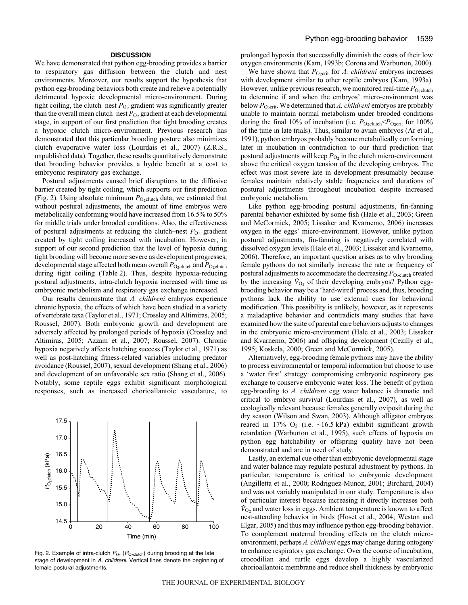# **DISCUSSION**

We have demonstrated that python egg-brooding provides a barrier to respiratory gas diffusion between the clutch and nest environments. Moreover, our results support the hypothesis that python egg-brooding behaviors both create and relieve a potentially detrimental hypoxic developmental micro-environment. During tight coiling, the clutch–nest  $P_{\text{O}_2}$  gradient was significantly greater than the overall mean clutch–nest  $P_{\text{O}_2}$  gradient at each developmental stage, in support of our first prediction that tight brooding creates a hypoxic clutch micro-environment. Previous research has demonstrated that this particular brooding posture also minimizes clutch evaporative water loss (Lourdais et al., 2007) (Z.R.S., unpublished data). Together, these results quantitatively demonstrate that brooding behavior provides a hydric benefit at a cost to embryonic respiratory gas exchange.

Postural adjustments caused brief disruptions to the diffusive barrier created by tight coiling, which supports our first prediction (Fig. 2). Using absolute minimum  $P_{O_2$ clutch data, we estimated that without postural adjustments, the amount of time embryos were metabolically conforming would have increased from 16.5% to 50% for middle trials under brooded conditions. Also, the effectiveness of postural adjustments at reducing the clutch–nest  $P_{\text{O}_2}$  gradient created by tight coiling increased with incubation. However, in support of our second prediction that the level of hypoxia during tight brooding will become more severe as development progresses, developmental stage affected both mean overall  $P_{\text{O}_2\text{clutch}}$  and  $P_{\text{O}_2\text{clutch}}$ during tight coiling (Table 2). Thus, despite hypoxia-reducing postural adjustments, intra-clutch hypoxia increased with time as embryonic metabolism and respiratory gas exchange increased.

Our results demonstrate that *A. childreni* embryos experience chronic hypoxia, the effects of which have been studied in a variety of vertebrate taxa (Taylor et al., 1971; Crossley and Altimiras, 2005; Roussel, 2007). Both embryonic growth and development are adversely affected by prolonged periods of hypoxia (Crossley and Altimiras, 2005; Azzam et al., 2007; Roussel, 2007). Chronic hypoxia negatively affects hatching success (Taylor et al., 1971) as well as post-hatching fitness-related variables including predator avoidance (Roussel, 2007), sexual development (Shang et al., 2006) and development of an unfavorable sex ratio (Shang et al., 2006). Notably, some reptile eggs exhibit significant morphological responses, such as increased chorioallantoic vasculature, to



Fig. 2. Example of intra-clutch  $P_{O_2}$  ( $P_{O_2$ clutch) during brooding at the late stage of development in A. childreni. Vertical lines denote the beginning of female postural adjustments.

prolonged hypoxia that successfully diminish the costs of their low oxygen environments (Kam, 1993b; Corona and Warburton, 2000).

We have shown that  $P_{\text{O}_2\text{crit}}$  for *A. childreni* embryos increases with development similar to other reptile embryos (Kam, 1993a). However, unlike previous research, we monitored real-time  $P_{\text{O}_2\text{clutch}}$ to determine if and when the embryos' micro-environment was below  $P_{O<sub>2</sub>crit}$ . We determined that *A. childreni* embryos are probably unable to maintain normal metabolism under brooded conditions during the final 10% of incubation (i.e.  $P_{\text{O}_2\text{clutch}}$  *P*<sub>O<sub>2</sub>crit for 100%</sub> of the time in late trials). Thus, similar to avian embryos (Ar et al., 1991), python embryos probably become metabolically conforming later in incubation in contradiction to our third prediction that postural adjustments will keep  $P_{\text{O}_2}$  in the clutch micro-environment above the critical oxygen tension of the developing embryos. The effect was most severe late in development presumably because females maintain relatively stable frequencies and durations of postural adjustments throughout incubation despite increased embryonic metabolism.

Like python egg-brooding postural adjustments, fin-fanning parental behavior exhibited by some fish (Hale et al., 2003; Green and McCormick, 2005; Lissaker and Kvarnemo, 2006) increases oxygen in the eggs' micro-environment. However, unlike python postural adjustments, fin-fanning is negatively correlated with dissolved oxygen levels (Hale et al., 2003; Lissaker and Kvarnemo, 2006). Therefore, an important question arises as to why brooding female pythons do not similarly increase the rate or frequency of postural adjustments to accommodate the decreasing  $P_{\text{O}_2\text{clutch}}$  created by the increasing  $V_{\text{O}_2}$  of their developing embryos? Python eggbrooding behavior may be a 'hard-wired' process and, thus, brooding pythons lack the ability to use external cues for behavioral modification. This possibility is unlikely, however, as it represents a maladaptive behavior and contradicts many studies that have examined how the suite of parental care behaviors adjusts to changes in the embryonic micro-environment (Hale et al., 2003; Lissaker and Kvarnemo, 2006) and offspring development (Cezilly et al., 1995; Koskela, 2000; Green and McCormick, 2005).

Alternatively, egg-brooding female pythons may have the ability to process environmental or temporal information but choose to use a 'water first' strategy: compromising embryonic respiratory gas exchange to conserve embryonic water loss. The benefit of python egg-brooding to *A. childreni* egg water balance is dramatic and critical to embryo survival (Lourdais et al., 2007), as well as ecologically relevant because females generally oviposit during the dry season (Wilson and Swan, 2003). Although alligator embryos reared in 17%  $O_2$  (i.e. ~16.5 kPa) exhibit significant growth retardation (Warburton et al., 1995), such effects of hypoxia on python egg hatchability or offspring quality have not been demonstrated and are in need of study.

Lastly, an external cue other than embryonic developmental stage and water balance may regulate postural adjustment by pythons. In particular, temperature is critical to embryonic development (Angilletta et al., 2000; Rodriguez-Munoz, 2001; Birchard, 2004) and was not variably manipulated in our study. Temperature is also of particular interest because increasing it directly increases both  $\dot{V}_{\text{O}_2}$  and water loss in eggs. Ambient temperature is known to affect nest-attending behavior in birds (Hoset et al., 2004; Weston and Elgar, 2005) and thus may influence python egg-brooding behavior. To complement maternal brooding effects on the clutch microenvironment, perhaps *A. childreni* eggs may change during ontogeny to enhance respiratory gas exchange. Over the course of incubation, crocodilian and turtle eggs develop a highly vascularized chorioallantoic membrane and reduce shell thickness by embryonic